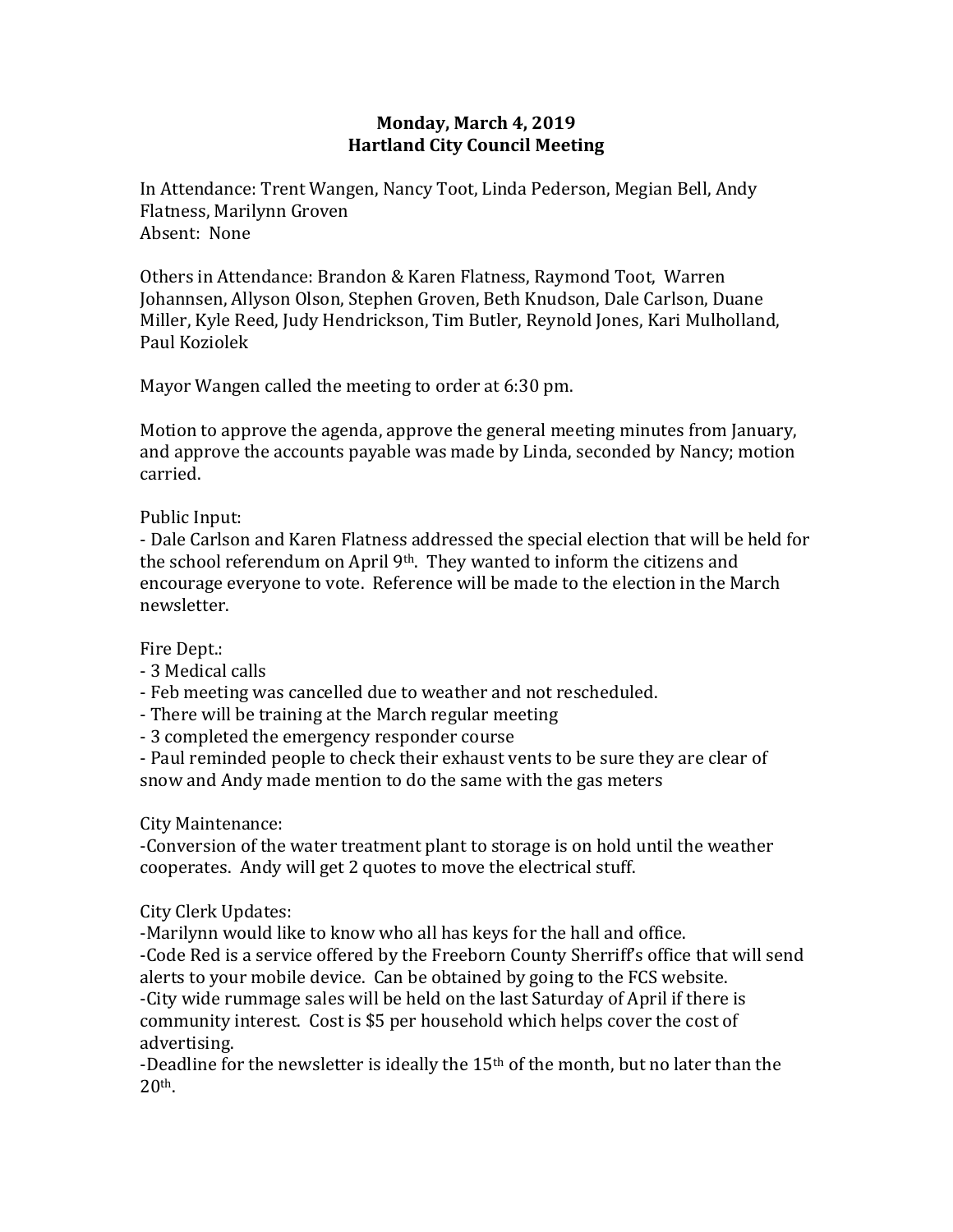# **Monday, March 4, 2019 Hartland City Council Meeting**

In Attendance: Trent Wangen, Nancy Toot, Linda Pederson, Megian Bell, Andy Flatness, Marilynn Groven Absent: None

Others in Attendance: Brandon & Karen Flatness, Raymond Toot, Warren Johannsen, Allyson Olson, Stephen Groven, Beth Knudson, Dale Carlson, Duane Miller, Kyle Reed, Judy Hendrickson, Tim Butler, Reynold Jones, Kari Mulholland, Paul Koziolek

Mayor Wangen called the meeting to order at 6:30 pm.

Motion to approve the agenda, approve the general meeting minutes from January, and approve the accounts payable was made by Linda, seconded by Nancy; motion carried.

# Public Input:

- Dale Carlson and Karen Flatness addressed the special election that will be held for the school referendum on April 9<sup>th</sup>. They wanted to inform the citizens and encourage everyone to vote. Reference will be made to the election in the March newsletter.

### Fire Dept.:

- 3 Medical calls
- Feb meeting was cancelled due to weather and not rescheduled.
- There will be training at the March regular meeting
- 3 completed the emergency responder course

- Paul reminded people to check their exhaust vents to be sure they are clear of snow and Andy made mention to do the same with the gas meters

### City Maintenance:

-Conversion of the water treatment plant to storage is on hold until the weather cooperates. Andy will get 2 quotes to move the electrical stuff.

### City Clerk Updates:

-Marilynn would like to know who all has keys for the hall and office. -Code Red is a service offered by the Freeborn County Sherriff's office that will send alerts to your mobile device. Can be obtained by going to the FCS website. -City wide rummage sales will be held on the last Saturday of April if there is community interest. Cost is \$5 per household which helps cover the cost of advertising.

-Deadline for the newsletter is ideally the 15<sup>th</sup> of the month, but no later than the 20th.